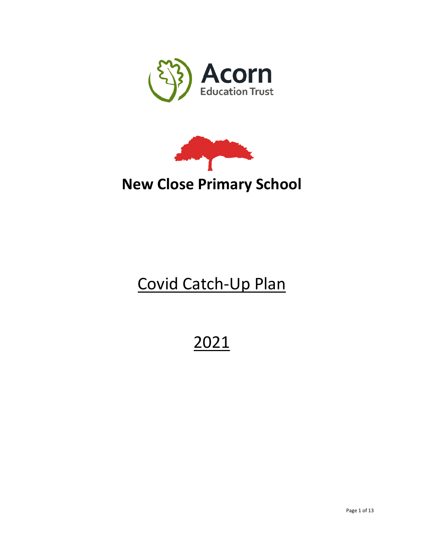



# **New Close Primary School**

# Covid Catch-Up Plan

# 2021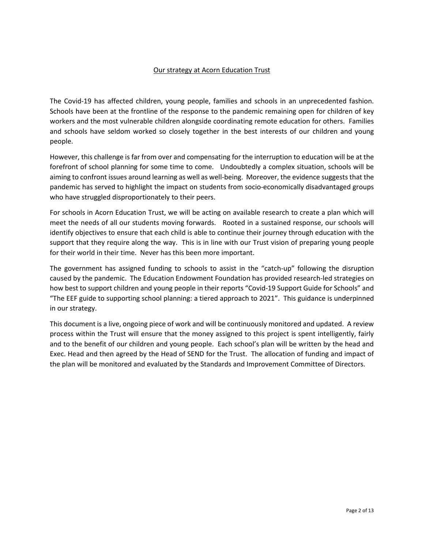#### Our strategy at Acorn Education Trust

The Covid-19 has affected children, young people, families and schools in an unprecedented fashion. Schools have been at the frontline of the response to the pandemic remaining open for children of key workers and the most vulnerable children alongside coordinating remote education for others. Families and schools have seldom worked so closely together in the best interests of our children and young people.

However, this challenge is far from over and compensating for the interruption to education will be at the forefront of school planning for some time to come. Undoubtedly a complex situation, schools will be aiming to confront issues around learning as well as well-being. Moreover, the evidence suggests that the pandemic has served to highlight the impact on students from socio-economically disadvantaged groups who have struggled disproportionately to their peers.

For schools in Acorn Education Trust, we will be acting on available research to create a plan which will meet the needs of all our students moving forwards. Rooted in a sustained response, our schools will identify objectives to ensure that each child is able to continue their journey through education with the support that they require along the way. This is in line with our Trust vision of preparing young people for their world in their time. Never has this been more important.

The government has assigned funding to schools to assist in the "catch-up" following the disruption caused by the pandemic. The Education Endowment Foundation has provided research-led strategies on how best to support children and young people in their reports "Covid-19 Support Guide for Schools" and "The EEF guide to supporting school planning: a tiered approach to 2021". This guidance is underpinned in our strategy.

This document is a live, ongoing piece of work and will be continuously monitored and updated. A review process within the Trust will ensure that the money assigned to this project is spent intelligently, fairly and to the benefit of our children and young people. Each school's plan will be written by the head and Exec. Head and then agreed by the Head of SEND for the Trust. The allocation of funding and impact of the plan will be monitored and evaluated by the Standards and Improvement Committee of Directors.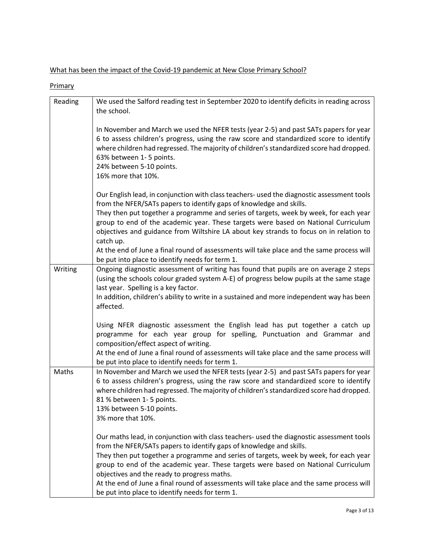What has been the impact of the Covid-19 pandemic at New Close Primary School?

**Primary** 

| Reading | We used the Salford reading test in September 2020 to identify deficits in reading across<br>the school.                                                                                                                                                                                                                                                                                                                                                                                                                                      |
|---------|-----------------------------------------------------------------------------------------------------------------------------------------------------------------------------------------------------------------------------------------------------------------------------------------------------------------------------------------------------------------------------------------------------------------------------------------------------------------------------------------------------------------------------------------------|
|         | In November and March we used the NFER tests (year 2-5) and past SATs papers for year<br>6 to assess children's progress, using the raw score and standardized score to identify<br>where children had regressed. The majority of children's standardized score had dropped.<br>63% between 1-5 points.<br>24% between 5-10 points.<br>16% more that 10%.                                                                                                                                                                                     |
|         | Our English lead, in conjunction with class teachers- used the diagnostic assessment tools<br>from the NFER/SATs papers to identify gaps of knowledge and skills.<br>They then put together a programme and series of targets, week by week, for each year<br>group to end of the academic year. These targets were based on National Curriculum<br>objectives and guidance from Wiltshire LA about key strands to focus on in relation to<br>catch up.                                                                                       |
|         | At the end of June a final round of assessments will take place and the same process will<br>be put into place to identify needs for term 1.                                                                                                                                                                                                                                                                                                                                                                                                  |
| Writing | Ongoing diagnostic assessment of writing has found that pupils are on average 2 steps<br>(using the schools colour graded system A-E) of progress below pupils at the same stage<br>last year. Spelling is a key factor.<br>In addition, children's ability to write in a sustained and more independent way has been<br>affected.                                                                                                                                                                                                            |
|         | Using NFER diagnostic assessment the English lead has put together a catch up<br>programme for each year group for spelling, Punctuation and Grammar and<br>composition/effect aspect of writing.<br>At the end of June a final round of assessments will take place and the same process will<br>be put into place to identify needs for term 1.                                                                                                                                                                                             |
| Maths   | In November and March we used the NFER tests (year 2-5) and past SATs papers for year<br>6 to assess children's progress, using the raw score and standardized score to identify<br>where children had regressed. The majority of children's standardized score had dropped.<br>81 % between 1-5 points.<br>13% between 5-10 points.<br>3% more that 10%.                                                                                                                                                                                     |
|         | Our maths lead, in conjunction with class teachers- used the diagnostic assessment tools<br>from the NFER/SATs papers to identify gaps of knowledge and skills.<br>They then put together a programme and series of targets, week by week, for each year<br>group to end of the academic year. These targets were based on National Curriculum<br>objectives and the ready to progress maths.<br>At the end of June a final round of assessments will take place and the same process will<br>be put into place to identify needs for term 1. |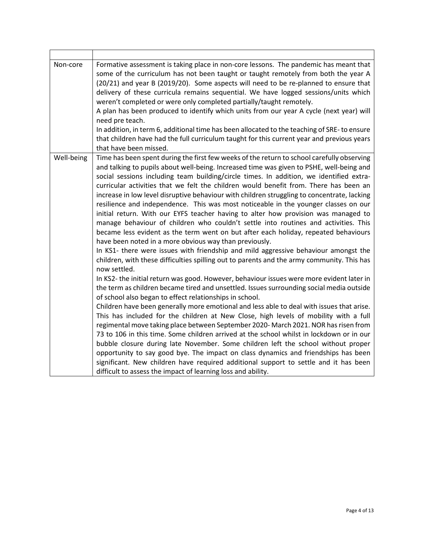| Non-core   | Formative assessment is taking place in non-core lessons. The pandemic has meant that<br>some of the curriculum has not been taught or taught remotely from both the year A<br>(20/21) and year B (2019/20). Some aspects will need to be re-planned to ensure that<br>delivery of these curricula remains sequential. We have logged sessions/units which<br>weren't completed or were only completed partially/taught remotely.<br>A plan has been produced to identify which units from our year A cycle (next year) will<br>need pre teach.<br>In addition, in term 6, additional time has been allocated to the teaching of SRE-to ensure<br>that children have had the full curriculum taught for this current year and previous years<br>that have been missed.                                                                                                                                                                                                                                                                                                                                                                                                                                                                                                                                                                                                                                                                                                                                                                                                                                                                                                                                                                                                                                                                                                                                                                                                                                                                                             |
|------------|--------------------------------------------------------------------------------------------------------------------------------------------------------------------------------------------------------------------------------------------------------------------------------------------------------------------------------------------------------------------------------------------------------------------------------------------------------------------------------------------------------------------------------------------------------------------------------------------------------------------------------------------------------------------------------------------------------------------------------------------------------------------------------------------------------------------------------------------------------------------------------------------------------------------------------------------------------------------------------------------------------------------------------------------------------------------------------------------------------------------------------------------------------------------------------------------------------------------------------------------------------------------------------------------------------------------------------------------------------------------------------------------------------------------------------------------------------------------------------------------------------------------------------------------------------------------------------------------------------------------------------------------------------------------------------------------------------------------------------------------------------------------------------------------------------------------------------------------------------------------------------------------------------------------------------------------------------------------------------------------------------------------------------------------------------------------|
| Well-being | Time has been spent during the first few weeks of the return to school carefully observing<br>and talking to pupils about well-being. Increased time was given to PSHE, well-being and<br>social sessions including team building/circle times. In addition, we identified extra-<br>curricular activities that we felt the children would benefit from. There has been an<br>increase in low level disruptive behaviour with children struggling to concentrate, lacking<br>resilience and independence. This was most noticeable in the younger classes on our<br>initial return. With our EYFS teacher having to alter how provision was managed to<br>manage behaviour of children who couldn't settle into routines and activities. This<br>became less evident as the term went on but after each holiday, repeated behaviours<br>have been noted in a more obvious way than previously.<br>In KS1- there were issues with friendship and mild aggressive behaviour amongst the<br>children, with these difficulties spilling out to parents and the army community. This has<br>now settled.<br>In KS2- the initial return was good. However, behaviour issues were more evident later in<br>the term as children became tired and unsettled. Issues surrounding social media outside<br>of school also began to effect relationships in school.<br>Children have been generally more emotional and less able to deal with issues that arise.<br>This has included for the children at New Close, high levels of mobility with a full<br>regimental move taking place between September 2020- March 2021. NOR has risen from<br>73 to 106 in this time. Some children arrived at the school whilst in lockdown or in our<br>bubble closure during late November. Some children left the school without proper<br>opportunity to say good bye. The impact on class dynamics and friendships has been<br>significant. New children have required additional support to settle and it has been<br>difficult to assess the impact of learning loss and ability. |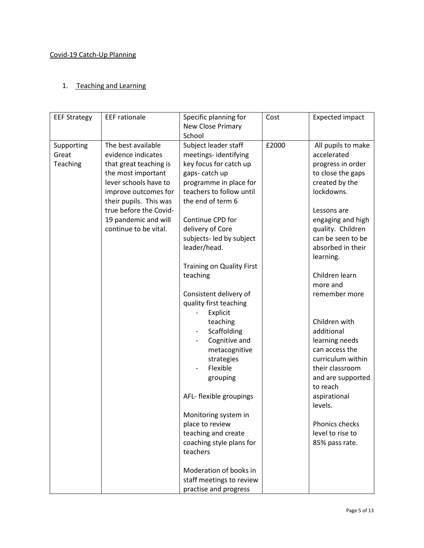#### Covid-19 Catch-Up Planning

## 1. Teaching and Learning

| <b>EEF Strategy</b>             | <b>EEF</b> rationale                                                                                                                                                                                                                           | Specific planning for                                                                                                                                                                                                                                                                                                                                      | Cost  | <b>Expected impact</b>                                                                                                                                                                                                                                                     |
|---------------------------------|------------------------------------------------------------------------------------------------------------------------------------------------------------------------------------------------------------------------------------------------|------------------------------------------------------------------------------------------------------------------------------------------------------------------------------------------------------------------------------------------------------------------------------------------------------------------------------------------------------------|-------|----------------------------------------------------------------------------------------------------------------------------------------------------------------------------------------------------------------------------------------------------------------------------|
|                                 |                                                                                                                                                                                                                                                | New Close Primary<br>School                                                                                                                                                                                                                                                                                                                                |       |                                                                                                                                                                                                                                                                            |
| Supporting<br>Great<br>Teaching | The best available<br>evidence indicates<br>that great teaching is<br>the most important<br>lever schools have to<br>improve outcomes for<br>their pupils. This was<br>true before the Covid-<br>19 pandemic and will<br>continue to be vital. | Subject leader staff<br>meetings-identifying<br>key focus for catch up<br>gaps-catch up<br>programme in place for<br>teachers to follow until<br>the end of term 6<br>Continue CPD for<br>delivery of Core<br>subjects- led by subject<br>leader/head.<br><b>Training on Quality First</b><br>teaching<br>Consistent delivery of<br>quality first teaching | £2000 | All pupils to make<br>accelerated<br>progress in order<br>to close the gaps<br>created by the<br>lockdowns.<br>Lessons are<br>engaging and high<br>quality. Children<br>can be seen to be<br>absorbed in their<br>learning.<br>Children learn<br>more and<br>remember more |
|                                 |                                                                                                                                                                                                                                                | Explicit<br>teaching<br>Scaffolding<br>Cognitive and<br>metacognitive<br>strategies<br>Flexible<br>grouping<br>AFL- flexible groupings<br>Monitoring system in<br>place to review<br>teaching and create<br>coaching style plans for<br>teachers                                                                                                           |       | Children with<br>additional<br>learning needs<br>can access the<br>curriculum within<br>their classroom<br>and are supported<br>to reach<br>aspirational<br>levels.<br>Phonics checks<br>level to rise to<br>85% pass rate.                                                |
|                                 |                                                                                                                                                                                                                                                | Moderation of books in<br>staff meetings to review<br>practise and progress                                                                                                                                                                                                                                                                                |       |                                                                                                                                                                                                                                                                            |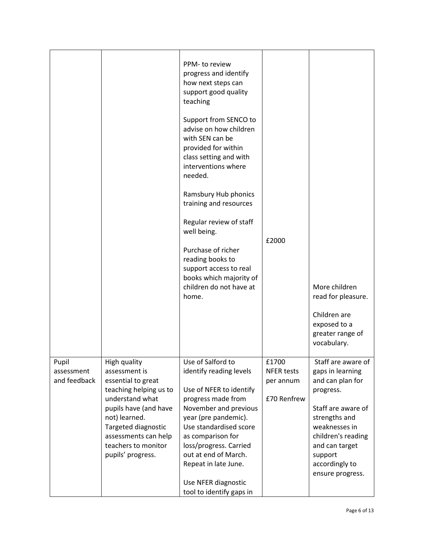|              |                                             | PPM- to review<br>progress and identify<br>how next steps can<br>support good quality<br>teaching                                                     |                   |                                                                 |
|--------------|---------------------------------------------|-------------------------------------------------------------------------------------------------------------------------------------------------------|-------------------|-----------------------------------------------------------------|
|              |                                             | Support from SENCO to<br>advise on how children<br>with SEN can be<br>provided for within<br>class setting and with<br>interventions where<br>needed. |                   |                                                                 |
|              |                                             | Ramsbury Hub phonics<br>training and resources                                                                                                        |                   |                                                                 |
|              |                                             | Regular review of staff<br>well being.                                                                                                                |                   |                                                                 |
|              |                                             | Purchase of richer<br>reading books to<br>support access to real<br>books which majority of                                                           | £2000             |                                                                 |
|              |                                             | children do not have at<br>home.                                                                                                                      |                   | More children<br>read for pleasure.                             |
|              |                                             |                                                                                                                                                       |                   | Children are<br>exposed to a<br>greater range of<br>vocabulary. |
| Pupil        | High quality                                | Use of Salford to                                                                                                                                     | £1700             | Staff are aware of                                              |
| assessment   | assessment is                               | identify reading levels                                                                                                                               | <b>NFER tests</b> | gaps in learning                                                |
| and feedback | essential to great                          |                                                                                                                                                       | per annum         | and can plan for                                                |
|              | teaching helping us to                      | Use of NFER to identify                                                                                                                               |                   | progress.                                                       |
|              | understand what                             | progress made from                                                                                                                                    | £70 Renfrew       |                                                                 |
|              | pupils have (and have                       | November and previous                                                                                                                                 |                   | Staff are aware of                                              |
|              | not) learned.                               | year (pre pandemic).                                                                                                                                  |                   | strengths and                                                   |
|              | Targeted diagnostic<br>assessments can help | Use standardised score<br>as comparison for                                                                                                           |                   | weaknesses in<br>children's reading                             |
|              | teachers to monitor                         | loss/progress. Carried                                                                                                                                |                   | and can target                                                  |
|              | pupils' progress.                           | out at end of March.                                                                                                                                  |                   | support                                                         |
|              |                                             | Repeat in late June.                                                                                                                                  |                   | accordingly to                                                  |
|              |                                             |                                                                                                                                                       |                   | ensure progress.                                                |
|              |                                             | Use NFER diagnostic<br>tool to identify gaps in                                                                                                       |                   |                                                                 |
|              |                                             |                                                                                                                                                       |                   |                                                                 |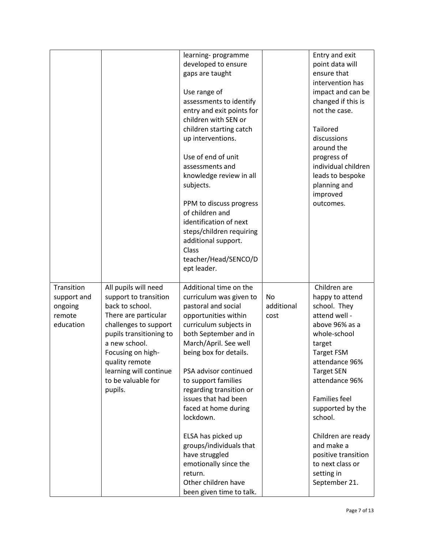|             |                         | learning-programme        |            | Entry and exit       |
|-------------|-------------------------|---------------------------|------------|----------------------|
|             |                         | developed to ensure       |            | point data will      |
|             |                         | gaps are taught           |            | ensure that          |
|             |                         |                           |            | intervention has     |
|             |                         | Use range of              |            | impact and can be    |
|             |                         | assessments to identify   |            | changed if this is   |
|             |                         | entry and exit points for |            | not the case.        |
|             |                         | children with SEN or      |            |                      |
|             |                         | children starting catch   |            | <b>Tailored</b>      |
|             |                         | up interventions.         |            | discussions          |
|             |                         |                           |            | around the           |
|             |                         | Use of end of unit        |            | progress of          |
|             |                         | assessments and           |            | individual children  |
|             |                         | knowledge review in all   |            | leads to bespoke     |
|             |                         | subjects.                 |            | planning and         |
|             |                         |                           |            | improved             |
|             |                         | PPM to discuss progress   |            | outcomes.            |
|             |                         | of children and           |            |                      |
|             |                         | identification of next    |            |                      |
|             |                         | steps/children requiring  |            |                      |
|             |                         | additional support.       |            |                      |
|             |                         | Class                     |            |                      |
|             |                         | teacher/Head/SENCO/D      |            |                      |
|             |                         | ept leader.               |            |                      |
|             |                         |                           |            |                      |
| Transition  | All pupils will need    | Additional time on the    |            | Children are         |
| support and | support to transition   | curriculum was given to   | No         | happy to attend      |
| ongoing     | back to school.         | pastoral and social       | additional | school. They         |
| remote      | There are particular    | opportunities within      | cost       | attend well -        |
| education   | challenges to support   | curriculum subjects in    |            | above 96% as a       |
|             | pupils transitioning to | both September and in     |            | whole-school         |
|             | a new school.           | March/April. See well     |            | target               |
|             | Focusing on high-       | being box for details.    |            | <b>Target FSM</b>    |
|             | quality remote          |                           |            | attendance 96%       |
|             | learning will continue  | PSA advisor continued     |            | <b>Target SEN</b>    |
|             | to be valuable for      | to support families       |            | attendance 96%       |
|             | pupils.                 | regarding transition or   |            |                      |
|             |                         | issues that had been      |            | <b>Families feel</b> |
|             |                         | faced at home during      |            | supported by the     |
|             |                         | lockdown.                 |            | school.              |
|             |                         | ELSA has picked up        |            | Children are ready   |
|             |                         | groups/individuals that   |            | and make a           |
|             |                         | have struggled            |            | positive transition  |
|             |                         | emotionally since the     |            | to next class or     |
|             |                         | return.                   |            | setting in           |
|             |                         | Other children have       |            | September 21.        |
|             |                         | been given time to talk.  |            |                      |
|             |                         |                           |            |                      |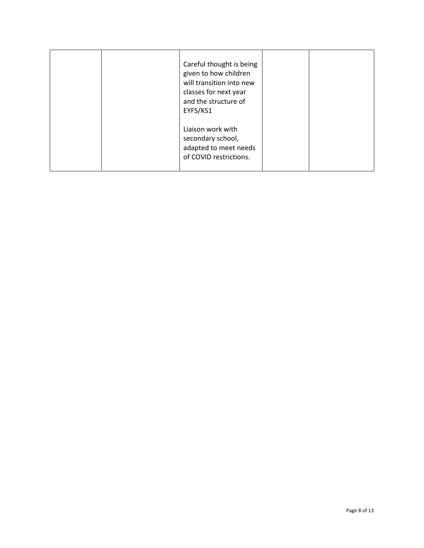|  | Careful thought is being<br>given to how children<br>will transition into new<br>classes for next year<br>and the structure of<br>EYFS/KS1 |  |
|--|--------------------------------------------------------------------------------------------------------------------------------------------|--|
|  | Liaison work with<br>secondary school,<br>adapted to meet needs<br>of COVID restrictions.                                                  |  |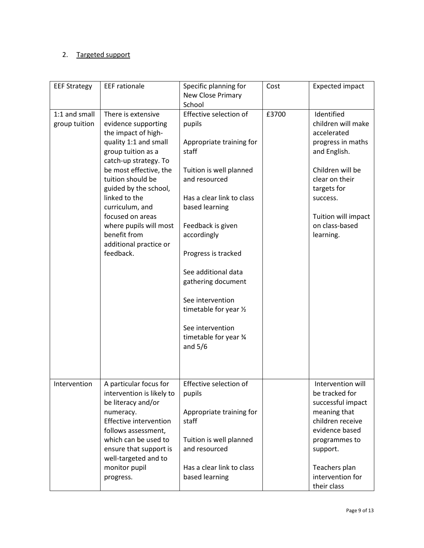## 2. Targeted support

| <b>EEF Strategy</b>            | <b>EEF</b> rationale                                                                                                                                                                                                                                                                                                                                      | Specific planning for<br>New Close Primary<br>School                                                                                                                                                                                                                                                                                                                             | Cost  | <b>Expected impact</b>                                                                                                                                                                                      |
|--------------------------------|-----------------------------------------------------------------------------------------------------------------------------------------------------------------------------------------------------------------------------------------------------------------------------------------------------------------------------------------------------------|----------------------------------------------------------------------------------------------------------------------------------------------------------------------------------------------------------------------------------------------------------------------------------------------------------------------------------------------------------------------------------|-------|-------------------------------------------------------------------------------------------------------------------------------------------------------------------------------------------------------------|
| 1:1 and small<br>group tuition | There is extensive<br>evidence supporting<br>the impact of high-<br>quality 1:1 and small<br>group tuition as a<br>catch-up strategy. To<br>be most effective, the<br>tuition should be<br>guided by the school,<br>linked to the<br>curriculum, and<br>focused on areas<br>where pupils will most<br>benefit from<br>additional practice or<br>feedback. | Effective selection of<br>pupils<br>Appropriate training for<br>staff<br>Tuition is well planned<br>and resourced<br>Has a clear link to class<br>based learning<br>Feedback is given<br>accordingly<br>Progress is tracked<br>See additional data<br>gathering document<br>See intervention<br>timetable for year 1/2<br>See intervention<br>timetable for year 34<br>and $5/6$ | £3700 | Identified<br>children will make<br>accelerated<br>progress in maths<br>and English.<br>Children will be<br>clear on their<br>targets for<br>success.<br>Tuition will impact<br>on class-based<br>learning. |
| Intervention                   | A particular focus for<br>intervention is likely to<br>be literacy and/or<br>numeracy.<br>Effective intervention<br>follows assessment,<br>which can be used to<br>ensure that support is<br>well-targeted and to<br>monitor pupil<br>progress.                                                                                                           | Effective selection of<br>pupils<br>Appropriate training for<br>staff<br>Tuition is well planned<br>and resourced<br>Has a clear link to class<br>based learning                                                                                                                                                                                                                 |       | Intervention will<br>be tracked for<br>successful impact<br>meaning that<br>children receive<br>evidence based<br>programmes to<br>support.<br>Teachers plan<br>intervention for<br>their class             |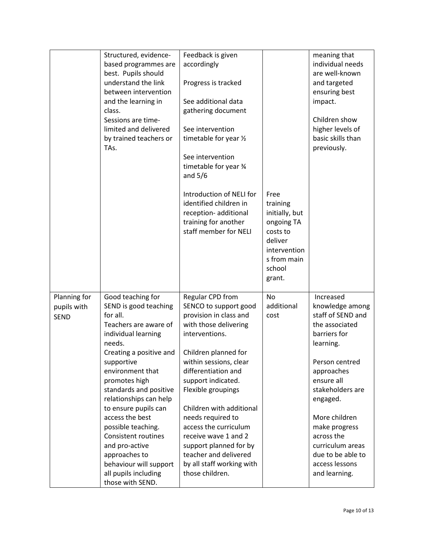|              | Structured, evidence-      | Feedback is given         |                | meaning that      |
|--------------|----------------------------|---------------------------|----------------|-------------------|
|              | based programmes are       | accordingly               |                | individual needs  |
|              | best. Pupils should        |                           |                | are well-known    |
|              | understand the link        | Progress is tracked       |                | and targeted      |
|              | between intervention       |                           |                | ensuring best     |
|              | and the learning in        | See additional data       |                | impact.           |
|              | class.                     | gathering document        |                |                   |
|              | Sessions are time-         |                           |                | Children show     |
|              | limited and delivered      | See intervention          |                | higher levels of  |
|              | by trained teachers or     | timetable for year 1/2    |                | basic skills than |
|              | TAs.                       |                           |                | previously.       |
|              |                            | See intervention          |                |                   |
|              |                            | timetable for year 3/4    |                |                   |
|              |                            | and $5/6$                 |                |                   |
|              |                            |                           |                |                   |
|              |                            | Introduction of NELI for  | Free           |                   |
|              |                            | identified children in    | training       |                   |
|              |                            | reception- additional     | initially, but |                   |
|              |                            | training for another      | ongoing TA     |                   |
|              |                            | staff member for NELI     | costs to       |                   |
|              |                            |                           | deliver        |                   |
|              |                            |                           | intervention   |                   |
|              |                            |                           | s from main    |                   |
|              |                            |                           | school         |                   |
|              |                            |                           | grant.         |                   |
|              |                            |                           |                |                   |
| Planning for | Good teaching for          | Regular CPD from          | <b>No</b>      | Increased         |
| pupils with  | SEND is good teaching      | SENCO to support good     | additional     | knowledge among   |
| <b>SEND</b>  | for all.                   | provision in class and    | cost           | staff of SEND and |
|              | Teachers are aware of      | with those delivering     |                | the associated    |
|              | individual learning        | interventions.            |                | barriers for      |
|              | needs.                     |                           |                | learning.         |
|              | Creating a positive and    | Children planned for      |                |                   |
|              | supportive                 | within sessions, clear    |                | Person centred    |
|              | environment that           | differentiation and       |                | approaches        |
|              | promotes high              | support indicated.        |                | ensure all        |
|              | standards and positive     | Flexible groupings        |                | stakeholders are  |
|              | relationships can help     |                           |                | engaged.          |
|              | to ensure pupils can       | Children with additional  |                |                   |
|              | access the best            | needs required to         |                | More children     |
|              | possible teaching.         | access the curriculum     |                | make progress     |
|              | <b>Consistent routines</b> | receive wave 1 and 2      |                | across the        |
|              | and pro-active             | support planned for by    |                | curriculum areas  |
|              | approaches to              | teacher and delivered     |                | due to be able to |
|              | behaviour will support     | by all staff working with |                | access lessons    |
|              | all pupils including       | those children.           |                | and learning.     |
|              | those with SEND.           |                           |                |                   |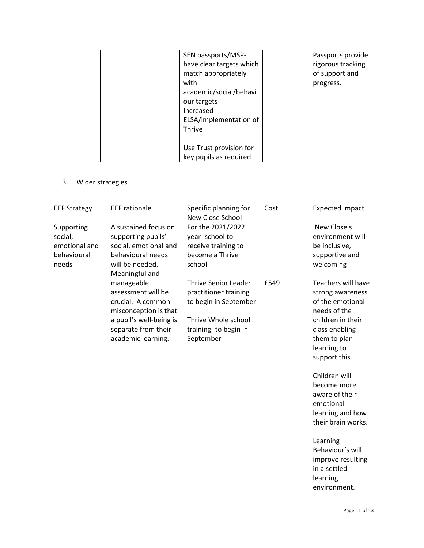| SEN passports/MSP-<br>have clear targets which<br>match appropriately<br>with<br>academic/social/behavi<br>our targets<br>Increased<br>ELSA/implementation of | Passports provide<br>rigorous tracking<br>of support and<br>progress. |
|---------------------------------------------------------------------------------------------------------------------------------------------------------------|-----------------------------------------------------------------------|
| <b>Thrive</b>                                                                                                                                                 |                                                                       |
| Use Trust provision for<br>key pupils as required                                                                                                             |                                                                       |

## 3. Wider strategies

| <b>EEF Strategy</b>                                            | <b>EEF</b> rationale                                                                                                                                                                                                                                                                    | Specific planning for<br>New Close School                                                                                                                                                                                             | Cost | <b>Expected impact</b>                                                                                                                                                                                                                               |
|----------------------------------------------------------------|-----------------------------------------------------------------------------------------------------------------------------------------------------------------------------------------------------------------------------------------------------------------------------------------|---------------------------------------------------------------------------------------------------------------------------------------------------------------------------------------------------------------------------------------|------|------------------------------------------------------------------------------------------------------------------------------------------------------------------------------------------------------------------------------------------------------|
| Supporting<br>social,<br>emotional and<br>behavioural<br>needs | A sustained focus on<br>supporting pupils'<br>social, emotional and<br>behavioural needs<br>will be needed.<br>Meaningful and<br>manageable<br>assessment will be<br>crucial. A common<br>misconception is that<br>a pupil's well-being is<br>separate from their<br>academic learning. | For the 2021/2022<br>year-school to<br>receive training to<br>become a Thrive<br>school<br><b>Thrive Senior Leader</b><br>practitioner training<br>to begin in September<br>Thrive Whole school<br>training- to begin in<br>September | £549 | New Close's<br>environment will<br>be inclusive,<br>supportive and<br>welcoming<br>Teachers will have<br>strong awareness<br>of the emotional<br>needs of the<br>children in their<br>class enabling<br>them to plan<br>learning to<br>support this. |
|                                                                |                                                                                                                                                                                                                                                                                         |                                                                                                                                                                                                                                       |      | Children will<br>become more<br>aware of their<br>emotional<br>learning and how<br>their brain works.<br>Learning<br>Behaviour's will<br>improve resulting<br>in a settled<br>learning<br>environment.                                               |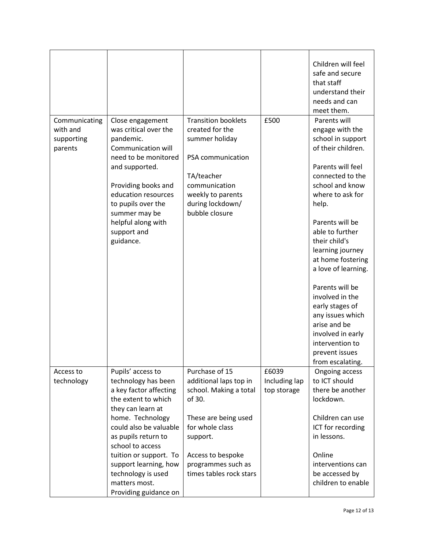|                                                    |                                                                                                                                                                                                                                                                                                                            |                                                                                                                                                                                                           |                                       | Children will feel<br>safe and secure<br>that staff<br>understand their<br>needs and can<br>meet them.                                                                                                                                                                                                                                                                                                                                                                |
|----------------------------------------------------|----------------------------------------------------------------------------------------------------------------------------------------------------------------------------------------------------------------------------------------------------------------------------------------------------------------------------|-----------------------------------------------------------------------------------------------------------------------------------------------------------------------------------------------------------|---------------------------------------|-----------------------------------------------------------------------------------------------------------------------------------------------------------------------------------------------------------------------------------------------------------------------------------------------------------------------------------------------------------------------------------------------------------------------------------------------------------------------|
| Communicating<br>with and<br>supporting<br>parents | Close engagement<br>was critical over the<br>pandemic.<br>Communication will<br>need to be monitored<br>and supported.<br>Providing books and<br>education resources<br>to pupils over the<br>summer may be<br>helpful along with<br>support and<br>guidance.                                                              | <b>Transition booklets</b><br>created for the<br>summer holiday<br>PSA communication<br>TA/teacher<br>communication<br>weekly to parents<br>during lockdown/<br>bubble closure                            | £500                                  | Parents will<br>engage with the<br>school in support<br>of their children.<br>Parents will feel<br>connected to the<br>school and know<br>where to ask for<br>help.<br>Parents will be<br>able to further<br>their child's<br>learning journey<br>at home fostering<br>a love of learning.<br>Parents will be<br>involved in the<br>early stages of<br>any issues which<br>arise and be<br>involved in early<br>intervention to<br>prevent issues<br>from escalating. |
| Access to<br>technology                            | Pupils' access to<br>technology has been<br>a key factor affecting<br>the extent to which<br>they can learn at<br>home. Technology<br>could also be valuable<br>as pupils return to<br>school to access<br>tuition or support. To<br>support learning, how<br>technology is used<br>matters most.<br>Providing guidance on | Purchase of 15<br>additional laps top in<br>school. Making a total<br>of 30.<br>These are being used<br>for whole class<br>support.<br>Access to bespoke<br>programmes such as<br>times tables rock stars | £6039<br>Including lap<br>top storage | Ongoing access<br>to ICT should<br>there be another<br>lockdown.<br>Children can use<br>ICT for recording<br>in lessons.<br>Online<br>interventions can<br>be accessed by<br>children to enable                                                                                                                                                                                                                                                                       |